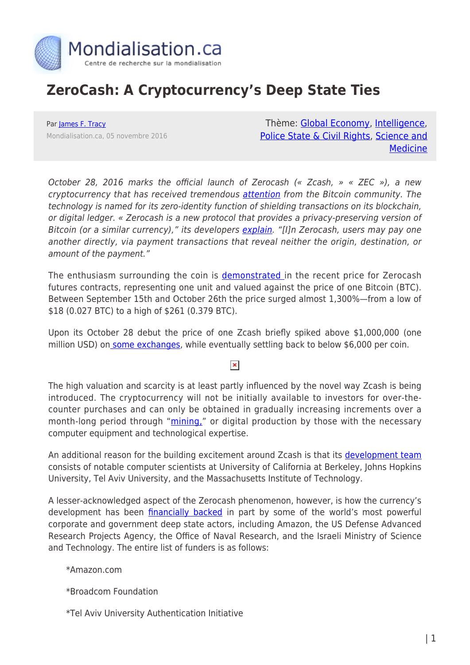

## **ZeroCash: A Cryptocurrency's Deep State Ties**

Par [James F. Tracy](https://www.mondialisation.ca/author/james-f-tracy) Mondialisation.ca, 05 novembre 2016

Thème: [Global Economy](https://www.mondialisation.ca/theme/global-economy), [Intelligence](https://www.mondialisation.ca/theme/intelligence), [Police State & Civil Rights](https://www.mondialisation.ca/theme/police-state-civil-rights), [Science and](https://www.mondialisation.ca/theme/science-and-medicine) **[Medicine](https://www.mondialisation.ca/theme/science-and-medicine)** 

October 28, 2016 marks the official launch of Zerocash (« Zcash, » « ZEC »), a new cryptocurrency that has received tremendous [attention](http://www.economist.com/news/finance-and-economics/21709329-another-crypto-currency-born-known-unknown) from the Bitcoin community. The technology is named for its zero-identity function of shielding transactions on its blockchain, or digital ledger. « Zerocash is a new protocol that provides a privacy-preserving version of Bitcoin (or a similar currency)," its developers [explain](http://zerocash-project.org/index). "[I]n Zerocash, users may pay one another directly, via payment transactions that reveal neither the origin, destination, or amount of the payment."

The enthusiasm surrounding the coin is [demonstrated](http://www.coindesk.com/investors-going-crazy-new-digital-currency-called-zcash/) in the recent price for Zerocash futures contracts, representing one unit and valued against the price of one Bitcoin (BTC). Between September 15th and October 26th the price surged almost 1,300%—from a low of \$18 (0.027 BTC) to a high of \$261 (0.379 BTC).

Upon its October 28 debut the price of one Zcash briefly spiked above \$1,000,000 (one million USD) on [some exchanges](https://www.worldcoinindex.com/coin/zcash), while eventually settling back to below \$6,000 per coin.

 $\pmb{\times}$ 

The high valuation and scarcity is at least partly influenced by the novel way Zcash is being introduced. The cryptocurrency will not be initially available to investors for over-thecounter purchases and can only be obtained in gradually increasing increments over a month-long period through "[mining,](https://www.cryptocompare.com/mining/guides/how-to-mine-zcash/)" or digital production by those with the necessary computer equipment and technological expertise.

An additional reason for the building excitement around Zcash is that its [development team](https://z.cash/team.html) consists of notable computer scientists at University of California at Berkeley, Johns Hopkins University, Tel Aviv University, and the Massachusetts Institute of Technology.

A lesser-acknowledged aspect of the Zerocash phenomenon, however, is how the currency's development has been [financially backed](http://zerocash-project.org/about_us) in part by some of the world's most powerful corporate and government deep state actors, including Amazon, the US Defense Advanced Research Projects Agency, the Office of Naval Research, and the Israeli Ministry of Science and Technology. The entire list of funders is as follows:

\*Amazon.com

\*Broadcom Foundation

\*Tel Aviv University Authentication Initiative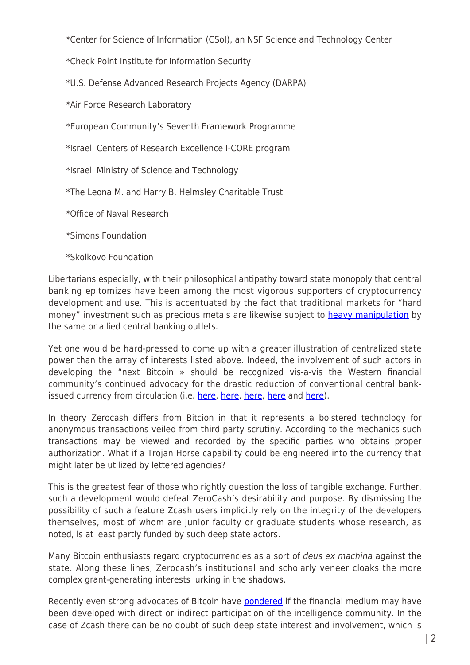\*Center for Science of Information (CSoI), an NSF Science and Technology Center

\*Check Point Institute for Information Security

\*U.S. Defense Advanced Research Projects Agency (DARPA)

\*Air Force Research Laboratory

\*European Community's Seventh Framework Programme

\*Israeli Centers of Research Excellence I-CORE program

\*Israeli Ministry of Science and Technology

\*The Leona M. and Harry B. Helmsley Charitable Trust

\*Office of Naval Research

\*Simons Foundation

\*Skolkovo Foundation

Libertarians especially, with their philosophical antipathy toward state monopoly that central banking epitomizes have been among the most vigorous supporters of cryptocurrency development and use. This is accentuated by the fact that traditional markets for "hard money" investment such as precious metals are likewise subject to **[heavy manipulation](http://www.paulcraigroberts.org/2014/01/17/hows-whys-gold-price-manipulation/)** by the same or allied central banking outlets.

Yet one would be hard-pressed to come up with a greater illustration of centralized state power than the array of interests listed above. Indeed, the involvement of such actors in developing the "next Bitcoin » should be recognized vis-a-vis the Western financial community's continued advocacy for the drastic reduction of conventional central bankissued currency from circulation (i.e. [here](https://www.washingtonpost.com/news/wonk/wp/2016/02/16/its-time-to-kill-the-100-bill/), [here,](http://www.zerohedge.com/news/2016-02-29/law-professor-slams-summers-cash-currency-freedom) [here](http://www.economicpolicyjournal.com/2016/05/the-war-on-cash-larry-summers-calls-for.html), [here](https://www.theguardian.com/world/2016/feb/08/german-plan-prohibit-large-5000-cash-transactions-fierce-resistance) and [here](http://time.com/money/4226174/kill-100-dollar-bill-500-euro-phase-out/)).

In theory Zerocash differs from Bitcion in that it represents a bolstered technology for anonymous transactions veiled from third party scrutiny. According to the mechanics such transactions may be viewed and recorded by the specific parties who obtains proper authorization. What if a Trojan Horse capability could be engineered into the currency that might later be utilized by lettered agencies?

This is the greatest fear of those who rightly question the loss of tangible exchange. Further, such a development would defeat ZeroCash's desirability and purpose. By dismissing the possibility of such a feature Zcash users implicitly rely on the integrity of the developers themselves, most of whom are junior faculty or graduate students whose research, as noted, is at least partly funded by such deep state actors.

Many Bitcoin enthusiasts regard cryptocurrencies as a sort of deus ex machina against the state. Along these lines, Zerocash's institutional and scholarly veneer cloaks the more complex grant-generating interests lurking in the shadows.

Recently even strong advocates of Bitcoin have [pondered](https://dollarvigilante.com/blog/2016/05/05/im-starting-think-cia-developed-bitcoin-still-love.html) if the financial medium may have been developed with direct or indirect participation of the intelligence community. In the case of Zcash there can be no doubt of such deep state interest and involvement, which is